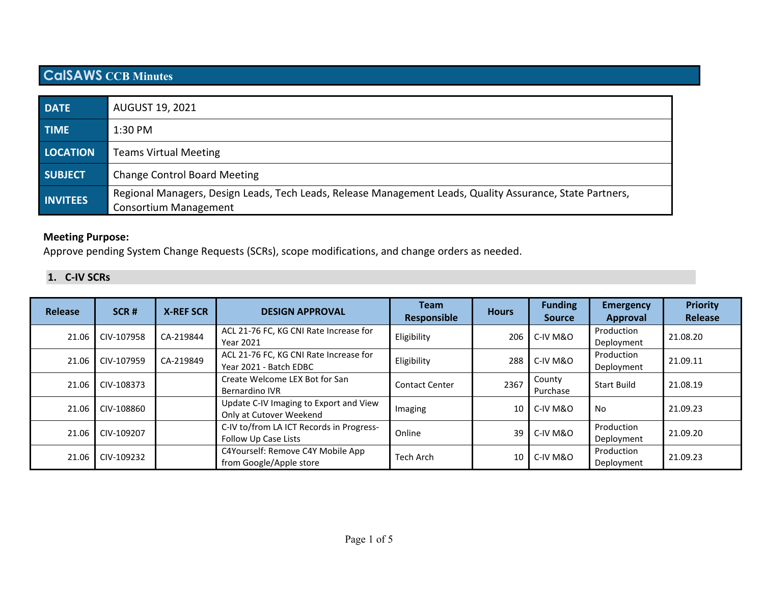# **CalSAWS CCB Minutes**

| <b>DATE</b>     | <b>AUGUST 19, 2021</b>                                                                                                                    |
|-----------------|-------------------------------------------------------------------------------------------------------------------------------------------|
| <b>TIME</b>     | $1:30$ PM                                                                                                                                 |
| <b>LOCATION</b> | <b>Teams Virtual Meeting</b>                                                                                                              |
| <b>SUBJECT</b>  | <b>Change Control Board Meeting</b>                                                                                                       |
| <b>INVITEES</b> | Regional Managers, Design Leads, Tech Leads, Release Management Leads, Quality Assurance, State Partners,<br><b>Consortium Management</b> |

### **Meeting Purpose:**

Approve pending System Change Requests (SCRs), scope modifications, and change orders as needed.

## **1. C-IV SCRs**

| Release | SCR#       | <b>X-REF SCR</b> | <b>DESIGN APPROVAL</b>                                            | <b>Team</b><br>Responsible | <b>Hours</b>    | <b>Funding</b><br><b>Source</b> | <b>Emergency</b><br>Approval | <b>Priority</b><br>Release |
|---------|------------|------------------|-------------------------------------------------------------------|----------------------------|-----------------|---------------------------------|------------------------------|----------------------------|
| 21.06   | CIV-107958 | CA-219844        | ACL 21-76 FC, KG CNI Rate Increase for<br><b>Year 2021</b>        | Eligibility                | 206             | C-IV M&O                        | Production<br>Deployment     | 21.08.20                   |
| 21.06   | CIV-107959 | CA-219849        | ACL 21-76 FC, KG CNI Rate Increase for<br>Year 2021 - Batch EDBC  | Eligibility                | 288             | C-IV M&O                        | Production<br>Deployment     | 21.09.11                   |
| 21.06   | CIV-108373 |                  | Create Welcome LEX Bot for San<br>Bernardino IVR                  | <b>Contact Center</b>      | 2367            | County<br>Purchase              | <b>Start Build</b>           | 21.08.19                   |
| 21.06   | CIV-108860 |                  | Update C-IV Imaging to Export and View<br>Only at Cutover Weekend | Imaging                    | 10 <sup>1</sup> | C-IV M&O                        | No                           | 21.09.23                   |
| 21.06   | CIV-109207 |                  | C-IV to/from LA ICT Records in Progress-<br>Follow Up Case Lists  | Online                     | 39              | C-IV M&O                        | Production<br>Deployment     | 21.09.20                   |
| 21.06   | CIV-109232 |                  | C4Yourself: Remove C4Y Mobile App<br>from Google/Apple store      | <b>Tech Arch</b>           | 10              | C-IV M&O                        | Production<br>Deployment     | 21.09.23                   |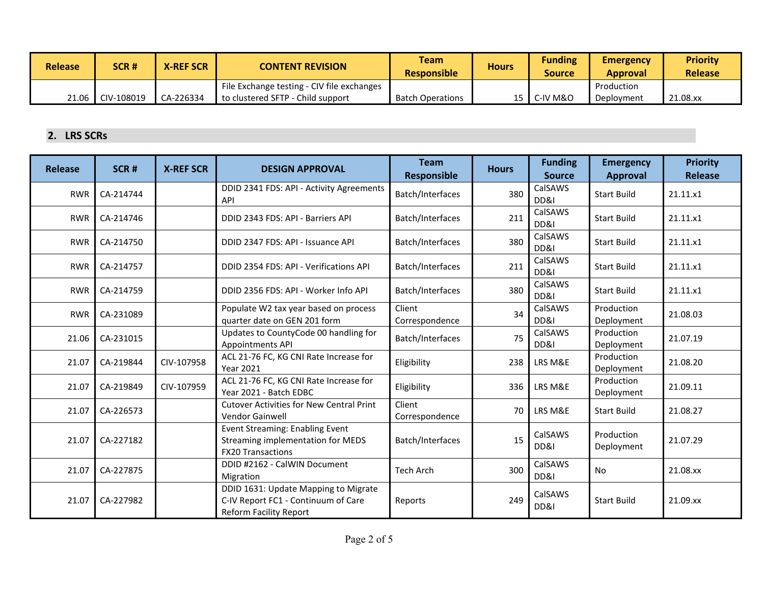| <b>Release</b> | SCR#                | <b>X-REF SCR</b> | <b>CONTENT REVISION</b>                    | Team<br><b>Responsible</b> | <b>Hours</b> | <b>Funding</b><br><b>Source</b> | <b>Emergency</b><br><b>Approval</b> | <b>Priority</b><br><b>Release</b> |
|----------------|---------------------|------------------|--------------------------------------------|----------------------------|--------------|---------------------------------|-------------------------------------|-----------------------------------|
|                |                     |                  | File Exchange testing - CIV file exchanges |                            |              |                                 | Production                          |                                   |
| 21.06          | $\Gamma$ CIV-108019 | CA-226334        | to clustered SFTP - Child support          | <b>Batch Operations</b>    |              | 15   C-IV M&O                   | Deployment                          | 21.08.xx                          |

# **2. LRS SCRs**

| <b>Release</b> | SCR#      | <b>X-REF SCR</b> | <b>DESIGN APPROVAL</b>                                                                                       | <b>Team</b><br><b>Responsible</b> | <b>Hours</b> | <b>Funding</b><br><b>Source</b> | <b>Emergency</b><br><b>Approval</b> | <b>Priority</b><br><b>Release</b> |
|----------------|-----------|------------------|--------------------------------------------------------------------------------------------------------------|-----------------------------------|--------------|---------------------------------|-------------------------------------|-----------------------------------|
| <b>RWR</b>     | CA-214744 |                  | DDID 2341 FDS: API - Activity Agreements<br>API                                                              | Batch/Interfaces                  | 380          | CalSAWS<br>DD&I                 | <b>Start Build</b>                  | 21.11.x1                          |
| <b>RWR</b>     | CA-214746 |                  | DDID 2343 FDS: API - Barriers API                                                                            | Batch/Interfaces                  | 211          | CalSAWS<br>DD&I                 | <b>Start Build</b>                  | 21.11.x1                          |
| <b>RWR</b>     | CA-214750 |                  | DDID 2347 FDS: API - Issuance API                                                                            | Batch/Interfaces                  | 380          | CalSAWS<br>DD&I                 | <b>Start Build</b>                  | 21.11.x1                          |
| <b>RWR</b>     | CA-214757 |                  | DDID 2354 FDS: API - Verifications API                                                                       | Batch/Interfaces                  | 211          | CalSAWS<br>DD&I                 | <b>Start Build</b>                  | 21.11.x1                          |
| <b>RWR</b>     | CA-214759 |                  | DDID 2356 FDS: API - Worker Info API                                                                         | Batch/Interfaces                  | 380          | CalSAWS<br>DD&I                 | <b>Start Build</b>                  | 21.11.x1                          |
| <b>RWR</b>     | CA-231089 |                  | Populate W2 tax year based on process<br>quarter date on GEN 201 form                                        | Client<br>Correspondence          | 34           | CalSAWS<br>DD&I                 | Production<br>Deployment            | 21.08.03                          |
| 21.06          | CA-231015 |                  | Updates to CountyCode 00 handling for<br>Appointments API                                                    | Batch/Interfaces                  | 75           | CalSAWS<br>DD&I                 | Production<br>Deployment            | 21.07.19                          |
| 21.07          | CA-219844 | CIV-107958       | ACL 21-76 FC, KG CNI Rate Increase for<br><b>Year 2021</b>                                                   | Eligibility                       | 238          | LRS M&E                         | Production<br>Deployment            | 21.08.20                          |
| 21.07          | CA-219849 | CIV-107959       | ACL 21-76 FC, KG CNI Rate Increase for<br>Year 2021 - Batch EDBC                                             | Eligibility                       | 336          | LRS M&E                         | Production<br>Deployment            | 21.09.11                          |
| 21.07          | CA-226573 |                  | <b>Cutover Activities for New Central Print</b><br><b>Vendor Gainwell</b>                                    | Client<br>Correspondence          | 70           | LRS M&E                         | <b>Start Build</b>                  | 21.08.27                          |
| 21.07          | CA-227182 |                  | Event Streaming: Enabling Event<br>Streaming implementation for MEDS<br><b>FX20 Transactions</b>             | Batch/Interfaces                  | 15           | CalSAWS<br>DD&I                 | Production<br>Deployment            | 21.07.29                          |
| 21.07          | CA-227875 |                  | DDID #2162 - CalWIN Document<br>Migration                                                                    | <b>Tech Arch</b>                  | 300          | CalSAWS<br>DD&I                 | <b>No</b>                           | 21.08.xx                          |
| 21.07          | CA-227982 |                  | DDID 1631: Update Mapping to Migrate<br>C-IV Report FC1 - Continuum of Care<br><b>Reform Facility Report</b> | Reports                           | 249          | CalSAWS<br>DD&I                 | <b>Start Build</b>                  | 21.09.xx                          |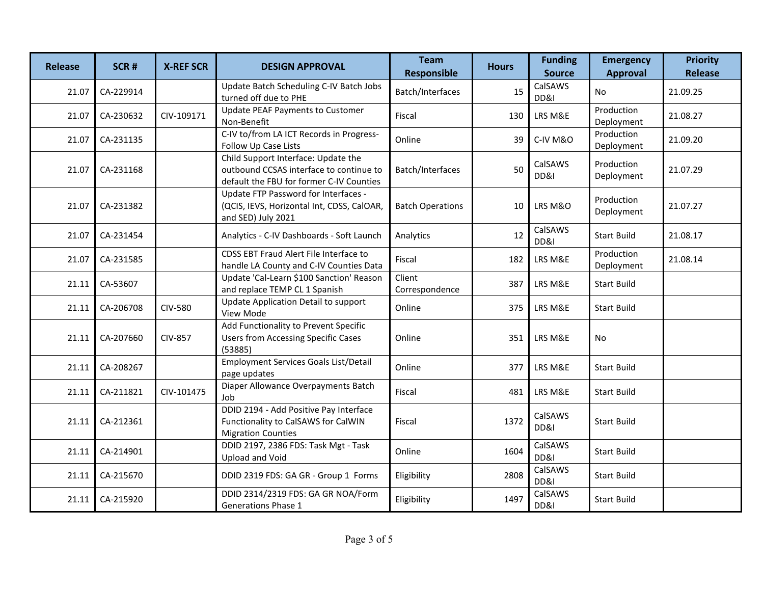| <b>Release</b> | SCR#      | <b>X-REF SCR</b> | <b>DESIGN APPROVAL</b>                                                                                                     | <b>Team</b><br><b>Responsible</b> | <b>Hours</b> | <b>Funding</b><br><b>Source</b> | <b>Emergency</b><br><b>Approval</b> | <b>Priority</b><br><b>Release</b> |
|----------------|-----------|------------------|----------------------------------------------------------------------------------------------------------------------------|-----------------------------------|--------------|---------------------------------|-------------------------------------|-----------------------------------|
| 21.07          | CA-229914 |                  | Update Batch Scheduling C-IV Batch Jobs<br>turned off due to PHE                                                           | Batch/Interfaces                  | 15           | CalSAWS<br>DD&I                 | No                                  | 21.09.25                          |
| 21.07          | CA-230632 | CIV-109171       | <b>Update PEAF Payments to Customer</b><br>Non-Benefit                                                                     | Fiscal                            | 130          | LRS M&E                         | Production<br>Deployment            | 21.08.27                          |
| 21.07          | CA-231135 |                  | C-IV to/from LA ICT Records in Progress-<br>Follow Up Case Lists                                                           | Online                            | 39           | C-IV M&O                        | Production<br>Deployment            | 21.09.20                          |
| 21.07          | CA-231168 |                  | Child Support Interface: Update the<br>outbound CCSAS interface to continue to<br>default the FBU for former C-IV Counties | Batch/Interfaces                  | 50           | CalSAWS<br>DD&I                 | Production<br>Deployment            | 21.07.29                          |
| 21.07          | CA-231382 |                  | Update FTP Password for Interfaces -<br>(QCIS, IEVS, Horizontal Int, CDSS, CalOAR,<br>and SED) July 2021                   | <b>Batch Operations</b>           | 10           | LRS M&O                         | Production<br>Deployment            | 21.07.27                          |
| 21.07          | CA-231454 |                  | Analytics - C-IV Dashboards - Soft Launch                                                                                  | Analytics                         | 12           | CalSAWS<br>DD&I                 | <b>Start Build</b>                  | 21.08.17                          |
| 21.07          | CA-231585 |                  | CDSS EBT Fraud Alert File Interface to<br>handle LA County and C-IV Counties Data                                          | Fiscal                            | 182          | LRS M&E                         | Production<br>Deployment            | 21.08.14                          |
| 21.11          | CA-53607  |                  | Update 'Cal-Learn \$100 Sanction' Reason<br>and replace TEMP CL 1 Spanish                                                  | Client<br>Correspondence          | 387          | LRS M&E                         | <b>Start Build</b>                  |                                   |
| 21.11          | CA-206708 | <b>CIV-580</b>   | Update Application Detail to support<br>View Mode                                                                          | Online                            | 375          | LRS M&E                         | <b>Start Build</b>                  |                                   |
| 21.11          | CA-207660 | <b>CIV-857</b>   | Add Functionality to Prevent Specific<br><b>Users from Accessing Specific Cases</b><br>(53885)                             | Online                            | 351          | LRS M&E                         | No                                  |                                   |
| 21.11          | CA-208267 |                  | <b>Employment Services Goals List/Detail</b><br>page updates                                                               | Online                            | 377          | LRS M&E                         | <b>Start Build</b>                  |                                   |
| 21.11          | CA-211821 | CIV-101475       | Diaper Allowance Overpayments Batch<br>Job                                                                                 | Fiscal                            | 481          | LRS M&E                         | <b>Start Build</b>                  |                                   |
| 21.11          | CA-212361 |                  | DDID 2194 - Add Positive Pay Interface<br>Functionality to CalSAWS for CalWIN<br><b>Migration Counties</b>                 | Fiscal                            | 1372         | CalSAWS<br>DD&I                 | <b>Start Build</b>                  |                                   |
| 21.11          | CA-214901 |                  | DDID 2197, 2386 FDS: Task Mgt - Task<br>Upload and Void                                                                    | Online                            | 1604         | CalSAWS<br>DD&I                 | <b>Start Build</b>                  |                                   |
| 21.11          | CA-215670 |                  | DDID 2319 FDS: GA GR - Group 1 Forms                                                                                       | Eligibility                       | 2808         | CalSAWS<br>DD&I                 | <b>Start Build</b>                  |                                   |
| 21.11          | CA-215920 |                  | DDID 2314/2319 FDS: GA GR NOA/Form<br><b>Generations Phase 1</b>                                                           | Eligibility                       | 1497         | CalSAWS<br>DD&I                 | <b>Start Build</b>                  |                                   |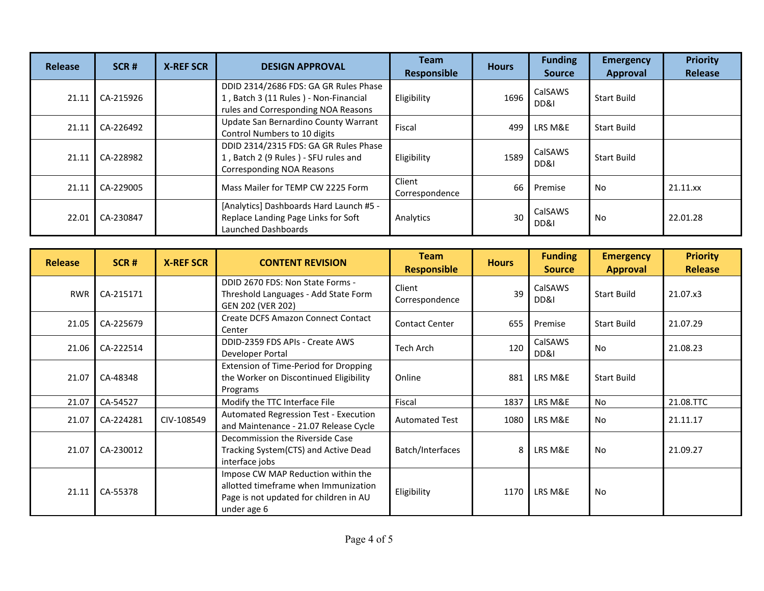| Release | SCR#      | <b>X-REF SCR</b> | <b>DESIGN APPROVAL</b>                                                                                                | <b>Team</b><br><b>Responsible</b> | <b>Hours</b> | <b>Funding</b><br><b>Source</b> | <b>Emergency</b><br><b>Approval</b> | <b>Priority</b><br><b>Release</b> |
|---------|-----------|------------------|-----------------------------------------------------------------------------------------------------------------------|-----------------------------------|--------------|---------------------------------|-------------------------------------|-----------------------------------|
| 21.11   | CA-215926 |                  | DDID 2314/2686 FDS: GA GR Rules Phase<br>1, Batch 3 (11 Rules) - Non-Financial<br>rules and Corresponding NOA Reasons | Eligibility                       | 1696         | CalSAWS<br>DD&I                 | <b>Start Build</b>                  |                                   |
| 21.11   | CA-226492 |                  | Update San Bernardino County Warrant<br>Control Numbers to 10 digits                                                  | Fiscal                            | 499          | LRS M&E                         | <b>Start Build</b>                  |                                   |
| 21.11   | CA-228982 |                  | DDID 2314/2315 FDS: GA GR Rules Phase<br>1, Batch 2 (9 Rules) - SFU rules and<br>Corresponding NOA Reasons            | Eligibility                       | 1589         | CalSAWS<br>DD&I                 | <b>Start Build</b>                  |                                   |
| 21.11   | CA-229005 |                  | Mass Mailer for TEMP CW 2225 Form                                                                                     | Client<br>Correspondence          | 66           | Premise                         | No.                                 | 21.11.xx                          |
| 22.01   | CA-230847 |                  | [Analytics] Dashboards Hard Launch #5 -<br>Replace Landing Page Links for Soft<br>Launched Dashboards                 | Analytics                         | 30           | CalSAWS<br>DD&I                 | No                                  | 22.01.28                          |

| <b>Release</b> | SCR#      | <b>X-REF SCR</b> | <b>CONTENT REVISION</b>                                                                                                             | <b>Team</b><br><b>Responsible</b> | <b>Hours</b> | <b>Funding</b><br><b>Source</b> | <b>Emergency</b><br><b>Approval</b> | <b>Priority</b><br><b>Release</b> |
|----------------|-----------|------------------|-------------------------------------------------------------------------------------------------------------------------------------|-----------------------------------|--------------|---------------------------------|-------------------------------------|-----------------------------------|
| <b>RWR</b>     | CA-215171 |                  | DDID 2670 FDS: Non State Forms -<br>Threshold Languages - Add State Form<br>GEN 202 (VER 202)                                       | Client<br>Correspondence          | 39           | CalSAWS<br>DD&I                 | <b>Start Build</b>                  | 21.07.x3                          |
| 21.05          | CA-225679 |                  | Create DCFS Amazon Connect Contact<br>Center                                                                                        | <b>Contact Center</b>             | 655          | Premise                         | <b>Start Build</b>                  | 21.07.29                          |
| 21.06          | CA-222514 |                  | DDID-2359 FDS APIs - Create AWS<br>Developer Portal                                                                                 | <b>Tech Arch</b>                  | 120          | CalSAWS<br>DD&I                 | <b>No</b>                           | 21.08.23                          |
| 21.07          | CA-48348  |                  | Extension of Time-Period for Dropping<br>the Worker on Discontinued Eligibility<br>Programs                                         | Online                            | 881          | LRS M&E                         | <b>Start Build</b>                  |                                   |
| 21.07          | CA-54527  |                  | Modify the TTC Interface File                                                                                                       | Fiscal                            | 1837         | LRS M&E                         | <b>No</b>                           | 21.08.TTC                         |
| 21.07          | CA-224281 | CIV-108549       | Automated Regression Test - Execution<br>and Maintenance - 21.07 Release Cycle                                                      | <b>Automated Test</b>             | 1080         | LRS M&E                         | No                                  | 21.11.17                          |
| 21.07          | CA-230012 |                  | Decommission the Riverside Case<br>Tracking System(CTS) and Active Dead<br>interface jobs                                           | Batch/Interfaces                  | 8            | LRS M&E                         | <b>No</b>                           | 21.09.27                          |
| 21.11          | CA-55378  |                  | Impose CW MAP Reduction within the<br>allotted timeframe when Immunization<br>Page is not updated for children in AU<br>under age 6 | Eligibility                       | 1170         | LRS M&E                         | No                                  |                                   |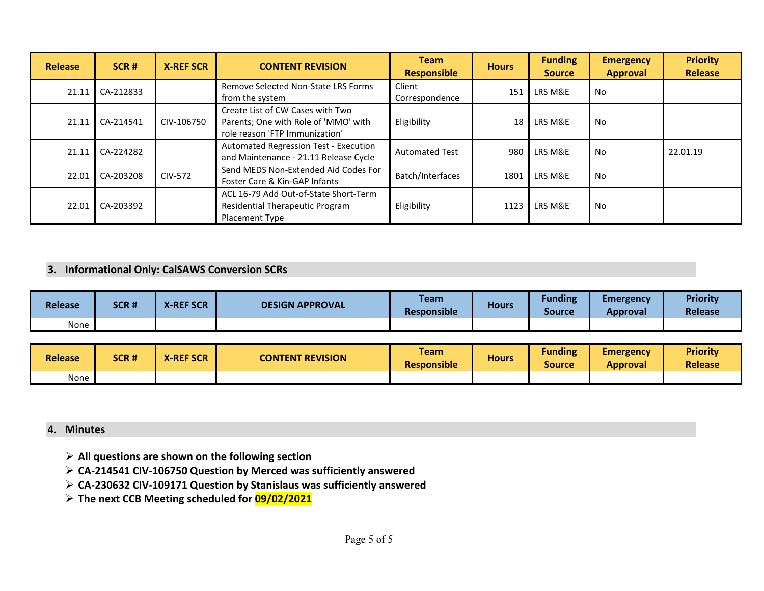| <b>Release</b> | SCR#        | <b>X-REF SCR</b> | <b>CONTENT REVISION</b>                                                                                    | <b>Team</b><br><b>Responsible</b> | <b>Hours</b> | <b>Funding</b><br><b>Source</b> | <b>Emergency</b><br><b>Approval</b> | <b>Priority</b><br><b>Release</b> |
|----------------|-------------|------------------|------------------------------------------------------------------------------------------------------------|-----------------------------------|--------------|---------------------------------|-------------------------------------|-----------------------------------|
| 21.11          | $CA-212833$ |                  | <b>Remove Selected Non-State LRS Forms</b><br>from the system                                              | Client<br>Correspondence          | 151          | LRS M&E                         | <b>No</b>                           |                                   |
| 21.11          | CA-214541   | CIV-106750       | Create List of CW Cases with Two<br>Parents; One with Role of 'MMO' with<br>role reason 'FTP Immunization' | Eligibility                       | 18           | LRS M&E                         | No                                  |                                   |
| 21.11          | CA-224282   |                  | Automated Regression Test - Execution<br>and Maintenance - 21.11 Release Cycle                             | <b>Automated Test</b>             | 980          | LRS M&E                         | No                                  | 22.01.19                          |
| 22.01          | CA-203208   | CIV-572          | Send MEDS Non-Extended Aid Codes For<br>Foster Care & Kin-GAP Infants                                      | Batch/Interfaces                  | 1801         | LRS M&E                         | No                                  |                                   |
| 22.01          | CA-203392   |                  | ACL 16-79 Add Out-of-State Short-Term<br><b>Residential Therapeutic Program</b><br><b>Placement Type</b>   | Eligibility                       | 1123         | LRS M&E                         | No                                  |                                   |

#### **3. Informational Only: CalSAWS Conversion SCRs**

| <b>Release</b> | SCR# | <b>X-REF SCR</b> | <b>DESIGN APPROVAL</b> | <b>Team</b><br><b>Responsible</b> | <b>Hours</b> | <b>Funding</b><br>Source | <b>Emergency</b><br>Approval | <b>Priority</b><br><b>Release</b> |
|----------------|------|------------------|------------------------|-----------------------------------|--------------|--------------------------|------------------------------|-----------------------------------|
| None           |      |                  |                        |                                   |              |                          |                              |                                   |

| <b>Release</b> | SCR# | <b>X-REF SCR</b> | <b>CONTENT REVISION</b> | <b>Team</b><br><b>Responsible</b> | <b>Hours</b> | <b>Funding</b><br>Source | <b>Emergency</b><br><b>Approval</b> | <b>Priority</b><br><b>Release</b> |
|----------------|------|------------------|-------------------------|-----------------------------------|--------------|--------------------------|-------------------------------------|-----------------------------------|
| None           |      |                  |                         |                                   |              |                          |                                     |                                   |

#### **4. Minutes**

- **All questions are shown on the following section**
- **CA-214541 CIV-106750 Question by Merced was sufficiently answered**
- **CA-230632 CIV-109171 Question by Stanislaus was sufficiently answered**
- **The next CCB Meeting scheduled for 09/02/2021**